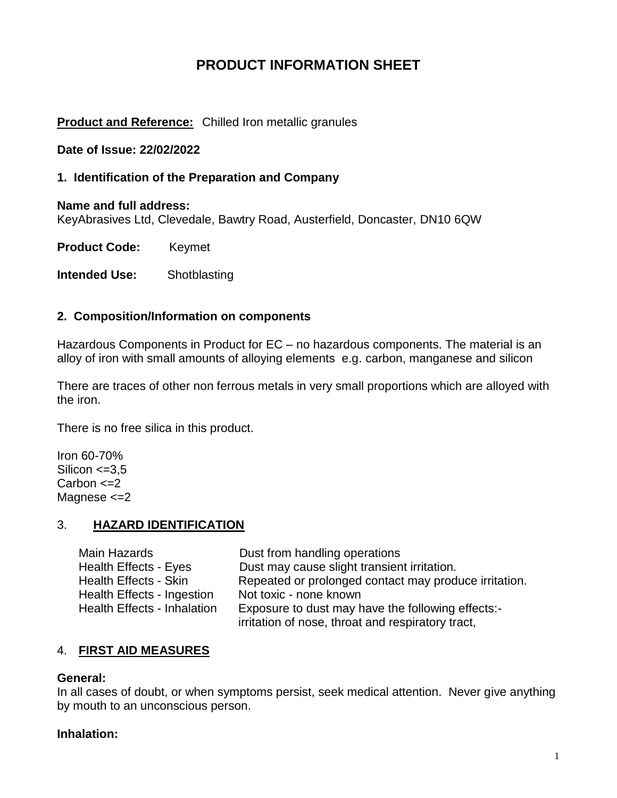# **PRODUCT INFORMATION SHEET**

### **Product and Reference:** Chilled Iron metallic granules

#### **Date of Issue: 22/02/2022**

#### **1. Identification of the Preparation and Company**

**Name and full address:**  KeyAbrasives Ltd, Clevedale, Bawtry Road, Austerfield, Doncaster, DN10 6QW

**Product Code:** Keymet

**Intended Use:** Shotblasting

#### **2. Composition/Information on components**

Hazardous Components in Product for EC – no hazardous components. The material is an alloy of iron with small amounts of alloying elements e.g. carbon, manganese and silicon

There are traces of other non ferrous metals in very small proportions which are alloyed with the iron.

There is no free silica in this product.

Iron 60-70% Silicon  $\leq$ =3,5 Carbon  $\leq$  2 Magnese <=2

### 3. **HAZARD IDENTIFICATION**

| Main Hazards                | Dust from handling operations                         |
|-----------------------------|-------------------------------------------------------|
| Health Effects - Eyes       | Dust may cause slight transient irritation.           |
| Health Effects - Skin       | Repeated or prolonged contact may produce irritation. |
| Health Effects - Ingestion  | Not toxic - none known                                |
| Health Effects - Inhalation | Exposure to dust may have the following effects:-     |
|                             | irritation of nose, throat and respiratory tract,     |

### 4. **FIRST AID MEASURES**

#### **General:**

In all cases of doubt, or when symptoms persist, seek medical attention. Never give anything by mouth to an unconscious person.

#### **Inhalation:**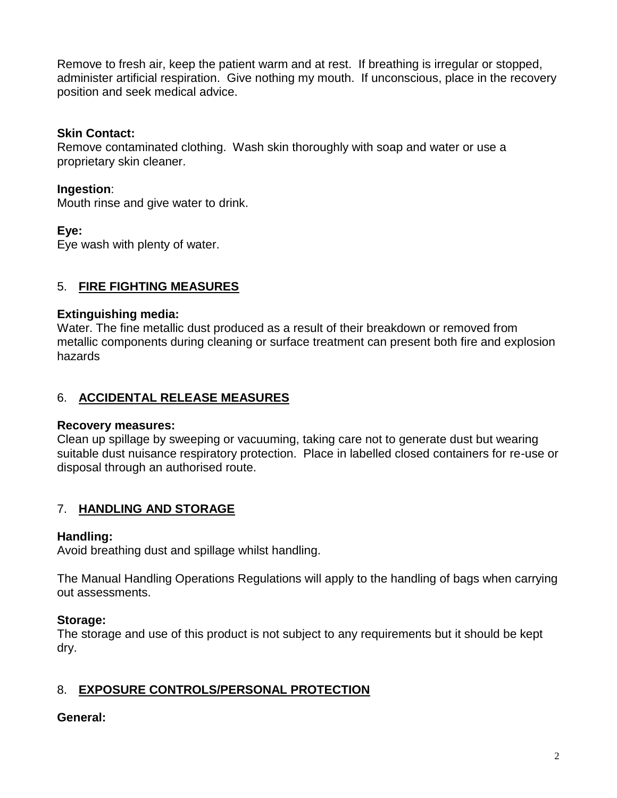Remove to fresh air, keep the patient warm and at rest. If breathing is irregular or stopped, administer artificial respiration. Give nothing my mouth. If unconscious, place in the recovery position and seek medical advice.

### **Skin Contact:**

Remove contaminated clothing. Wash skin thoroughly with soap and water or use a proprietary skin cleaner.

### **Ingestion**:

Mouth rinse and give water to drink.

### **Eye:**

Eye wash with plenty of water.

## 5. **FIRE FIGHTING MEASURES**

### **Extinguishing media:**

Water. The fine metallic dust produced as a result of their breakdown or removed from metallic components during cleaning or surface treatment can present both fire and explosion hazards

## 6. **ACCIDENTAL RELEASE MEASURES**

### **Recovery measures:**

Clean up spillage by sweeping or vacuuming, taking care not to generate dust but wearing suitable dust nuisance respiratory protection. Place in labelled closed containers for re-use or disposal through an authorised route.

## 7. **HANDLING AND STORAGE**

### **Handling:**

Avoid breathing dust and spillage whilst handling.

The Manual Handling Operations Regulations will apply to the handling of bags when carrying out assessments.

### **Storage:**

The storage and use of this product is not subject to any requirements but it should be kept dry.

## 8. **EXPOSURE CONTROLS/PERSONAL PROTECTION**

### **General:**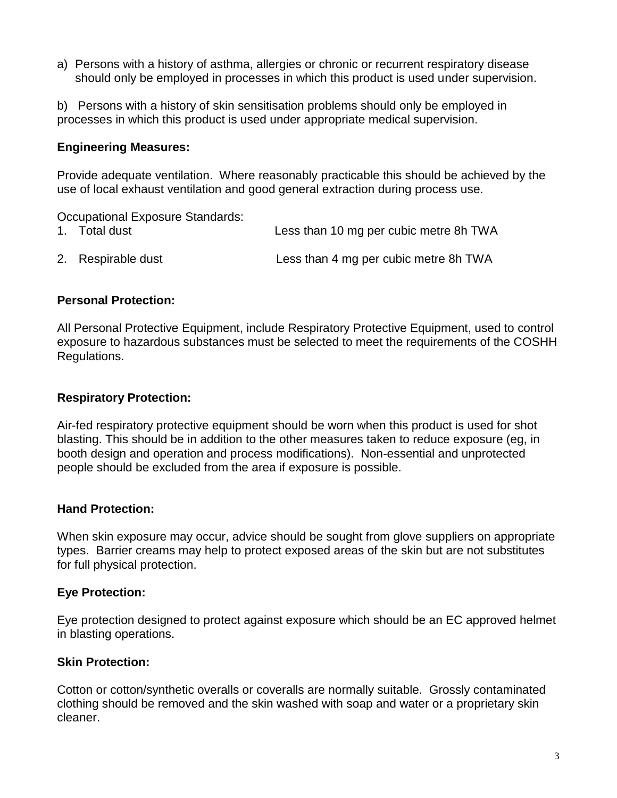a) Persons with a history of asthma, allergies or chronic or recurrent respiratory disease should only be employed in processes in which this product is used under supervision.

b) Persons with a history of skin sensitisation problems should only be employed in processes in which this product is used under appropriate medical supervision.

### **Engineering Measures:**

Provide adequate ventilation. Where reasonably practicable this should be achieved by the use of local exhaust ventilation and good general extraction during process use.

Occupational Exposure Standards:

1. Total dust Less than 10 mg per cubic metre 8h TWA 2. Respirable dust Less than 4 mg per cubic metre 8h TWA

### **Personal Protection:**

All Personal Protective Equipment, include Respiratory Protective Equipment, used to control exposure to hazardous substances must be selected to meet the requirements of the COSHH Regulations.

#### **Respiratory Protection:**

Air-fed respiratory protective equipment should be worn when this product is used for shot blasting. This should be in addition to the other measures taken to reduce exposure (eg, in booth design and operation and process modifications). Non-essential and unprotected people should be excluded from the area if exposure is possible.

### **Hand Protection:**

When skin exposure may occur, advice should be sought from glove suppliers on appropriate types. Barrier creams may help to protect exposed areas of the skin but are not substitutes for full physical protection.

### **Eye Protection:**

Eye protection designed to protect against exposure which should be an EC approved helmet in blasting operations.

### **Skin Protection:**

Cotton or cotton/synthetic overalls or coveralls are normally suitable. Grossly contaminated clothing should be removed and the skin washed with soap and water or a proprietary skin cleaner.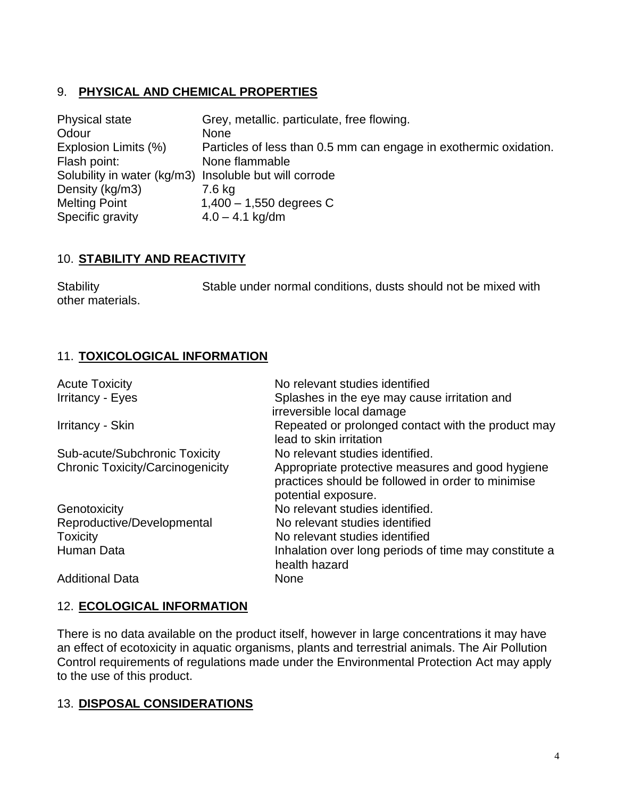# 9. **PHYSICAL AND CHEMICAL PROPERTIES**

| <b>Physical state</b>                                  | Grey, metallic. particulate, free flowing.                        |
|--------------------------------------------------------|-------------------------------------------------------------------|
| Odour                                                  | <b>None</b>                                                       |
| Explosion Limits (%)                                   | Particles of less than 0.5 mm can engage in exothermic oxidation. |
| Flash point:                                           | None flammable                                                    |
| Solubility in water (kg/m3) Insoluble but will corrode |                                                                   |
| Density (kg/m3)                                        | 7.6 kg                                                            |
| <b>Melting Point</b>                                   | $1,400 - 1,550$ degrees C                                         |
| Specific gravity                                       | $4.0 - 4.1$ kg/dm                                                 |

## 10. **STABILITY AND REACTIVITY**

| <b>Stability</b> | Stable under normal conditions, dusts should not be mixed with |  |
|------------------|----------------------------------------------------------------|--|
| other materials. |                                                                |  |

# 11. **TOXICOLOGICAL INFORMATION**

| <b>Acute Toxicity</b>                   | No relevant studies identified                                                                                               |
|-----------------------------------------|------------------------------------------------------------------------------------------------------------------------------|
| <b>Irritancy - Eyes</b>                 | Splashes in the eye may cause irritation and<br>irreversible local damage                                                    |
| Irritancy - Skin                        | Repeated or prolonged contact with the product may<br>lead to skin irritation                                                |
| Sub-acute/Subchronic Toxicity           | No relevant studies identified.                                                                                              |
| <b>Chronic Toxicity/Carcinogenicity</b> | Appropriate protective measures and good hygiene<br>practices should be followed in order to minimise<br>potential exposure. |
| Genotoxicity                            | No relevant studies identified.                                                                                              |
| Reproductive/Developmental              | No relevant studies identified                                                                                               |
| <b>Toxicity</b>                         | No relevant studies identified                                                                                               |
| Human Data                              | Inhalation over long periods of time may constitute a<br>health hazard                                                       |
| <b>Additional Data</b>                  | None                                                                                                                         |

## 12. **ECOLOGICAL INFORMATION**

There is no data available on the product itself, however in large concentrations it may have an effect of ecotoxicity in aquatic organisms, plants and terrestrial animals. The Air Pollution Control requirements of regulations made under the Environmental Protection Act may apply to the use of this product.

# 13. **DISPOSAL CONSIDERATIONS**